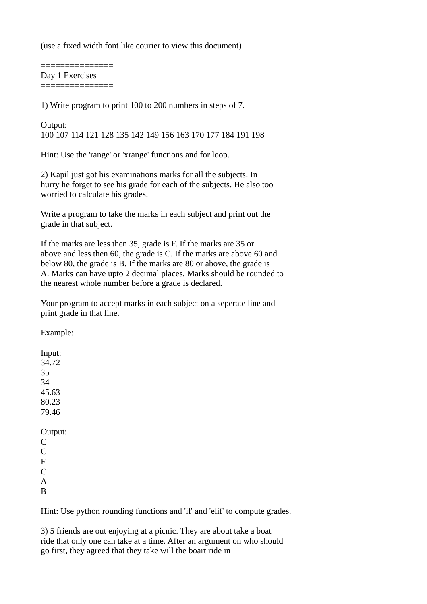(use a fixed width font like courier to view this document)

=============== Day 1 Exercises ===============

1) Write program to print 100 to 200 numbers in steps of 7.

Output: 100 107 114 121 128 135 142 149 156 163 170 177 184 191 198

Hint: Use the 'range' or 'xrange' functions and for loop.

2) Kapil just got his examinations marks for all the subjects. In hurry he forget to see his grade for each of the subjects. He also too worried to calculate his grades.

Write a program to take the marks in each subject and print out the grade in that subject.

If the marks are less then 35, grade is F. If the marks are 35 or above and less then 60, the grade is C. If the marks are above 60 and below 80, the grade is B. If the marks are 80 or above, the grade is A. Marks can have upto 2 decimal places. Marks should be rounded to the nearest whole number before a grade is declared.

Your program to accept marks in each subject on a seperate line and print grade in that line.

Example:

Input: 34.72 35 34 45.63 80.23 79.46 Output: C  $\overline{C}$ F  $\overline{C}$ A B

Hint: Use python rounding functions and 'if' and 'elif' to compute grades.

3) 5 friends are out enjoying at a picnic. They are about take a boat ride that only one can take at a time. After an argument on who should go first, they agreed that they take will the boart ride in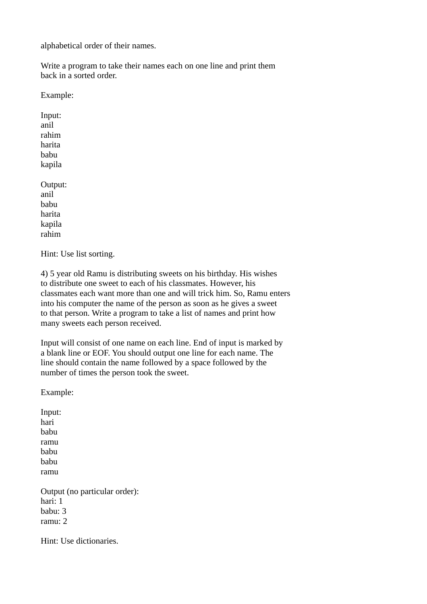alphabetical order of their names.

Write a program to take their names each on one line and print them back in a sorted order.

Example:

Input: anil rahim harita babu kapila

Output: anil babu harita kapila rahim

Hint: Use list sorting.

4) 5 year old Ramu is distributing sweets on his birthday. His wishes to distribute one sweet to each of his classmates. However, his classmates each want more than one and will trick him. So, Ramu enters into his computer the name of the person as soon as he gives a sweet to that person. Write a program to take a list of names and print how many sweets each person received.

Input will consist of one name on each line. End of input is marked by a blank line or EOF. You should output one line for each name. The line should contain the name followed by a space followed by the number of times the person took the sweet.

Example:

Input: hari babu ramu babu babu ramu Output (no particular order): hari: 1

babu: 3 ramu: 2

Hint: Use dictionaries.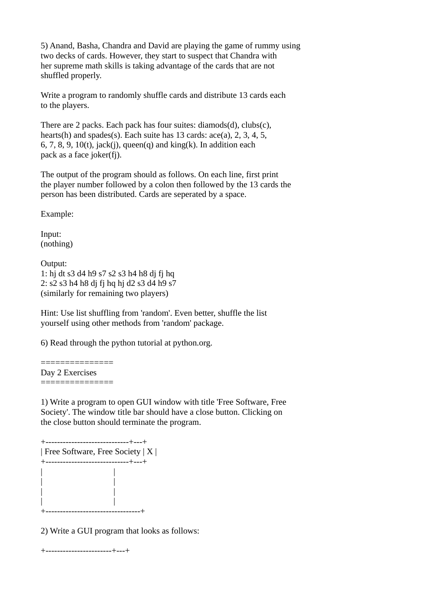5) Anand, Basha, Chandra and David are playing the game of rummy using two decks of cards. However, they start to suspect that Chandra with her supreme math skills is taking advantage of the cards that are not shuffled properly.

Write a program to randomly shuffle cards and distribute 13 cards each to the players.

There are 2 packs. Each pack has four suites: diamods(d), clubs(c), hearts(h) and spades(s). Each suite has 13 cards: ace(a), 2, 3, 4, 5, 6, 7, 8, 9, 10(t), jack(j), queen(q) and king(k). In addition each pack as a face joker(fj).

The output of the program should as follows. On each line, first print the player number followed by a colon then followed by the 13 cards the person has been distributed. Cards are seperated by a space.

Example:

Input: (nothing)

Output: 1: hj dt s3 d4 h9 s7 s2 s3 h4 h8 dj fj hq 2: s2 s3 h4 h8 dj fj hq hj d2 s3 d4 h9 s7 (similarly for remaining two players)

Hint: Use list shuffling from 'random'. Even better, shuffle the list yourself using other methods from 'random' package.

6) Read through the python tutorial at python.org.

=============== Day 2 Exercises ===============

1) Write a program to open GUI window with title 'Free Software, Free Society'. The window title bar should have a close button. Clicking on the close button should terminate the program.

+-----------------------------+---+ | Free Software, Free Society | X | +-----------------------------+---+ | | | | | | | | +---------------------------------+

2) Write a GUI program that looks as follows:

+-----------------------+---+